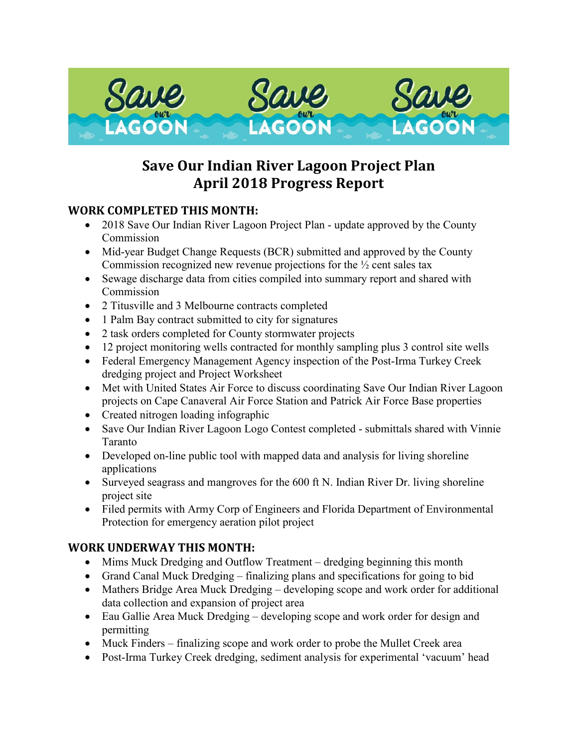

# **Save Our Indian River Lagoon Project Plan April 2018 Progress Report**

## **WORK COMPLETED THIS MONTH:**

- 2018 Save Our Indian River Lagoon Project Plan update approved by the County Commission
- Mid-year Budget Change Requests (BCR) submitted and approved by the County Commission recognized new revenue projections for the ½ cent sales tax
- Sewage discharge data from cities compiled into summary report and shared with Commission
- 2 Titusville and 3 Melbourne contracts completed
- 1 Palm Bay contract submitted to city for signatures
- 2 task orders completed for County stormwater projects
- 12 project monitoring wells contracted for monthly sampling plus 3 control site wells
- Federal Emergency Management Agency inspection of the Post-Irma Turkey Creek dredging project and Project Worksheet
- Met with United States Air Force to discuss coordinating Save Our Indian River Lagoon projects on Cape Canaveral Air Force Station and Patrick Air Force Base properties
- Created nitrogen loading infographic
- Save Our Indian River Lagoon Logo Contest completed submittals shared with Vinnie Taranto
- Developed on-line public tool with mapped data and analysis for living shoreline applications
- Surveyed seagrass and mangroves for the 600 ft N. Indian River Dr. living shoreline project site
- Filed permits with Army Corp of Engineers and Florida Department of Environmental Protection for emergency aeration pilot project

### **WORK UNDERWAY THIS MONTH:**

- Mims Muck Dredging and Outflow Treatment dredging beginning this month
- Grand Canal Muck Dredging finalizing plans and specifications for going to bid
- Mathers Bridge Area Muck Dredging developing scope and work order for additional data collection and expansion of project area
- Eau Gallie Area Muck Dredging developing scope and work order for design and permitting
- Muck Finders finalizing scope and work order to probe the Mullet Creek area
- Post-Irma Turkey Creek dredging, sediment analysis for experimental 'vacuum' head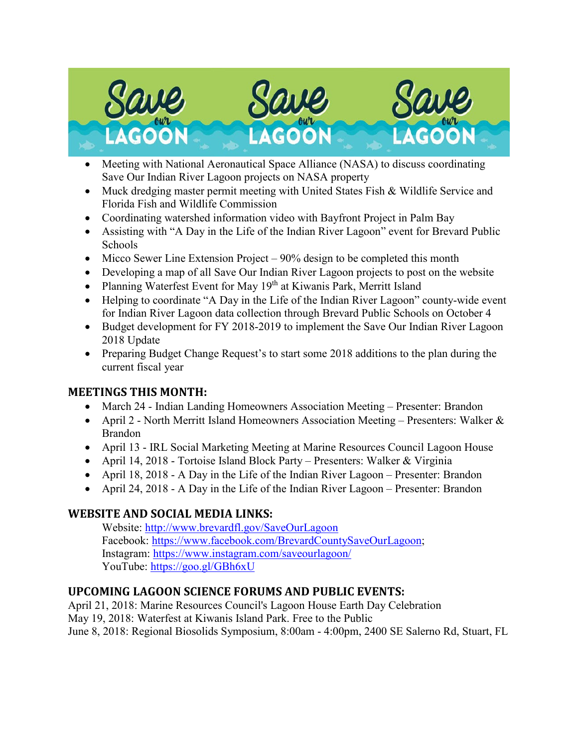

- Meeting with National Aeronautical Space Alliance (NASA) to discuss coordinating Save Our Indian River Lagoon projects on NASA property
- Muck dredging master permit meeting with United States Fish & Wildlife Service and Florida Fish and Wildlife Commission
- Coordinating watershed information video with Bayfront Project in Palm Bay
- Assisting with "A Day in the Life of the Indian River Lagoon" event for Brevard Public Schools
- Micco Sewer Line Extension Project  $-90\%$  design to be completed this month
- Developing a map of all Save Our Indian River Lagoon projects to post on the website
- Planning Waterfest Event for May 19<sup>th</sup> at Kiwanis Park, Merritt Island
- Helping to coordinate "A Day in the Life of the Indian River Lagoon" county-wide event for Indian River Lagoon data collection through Brevard Public Schools on October 4
- Budget development for FY 2018-2019 to implement the Save Our Indian River Lagoon 2018 Update
- Preparing Budget Change Request's to start some 2018 additions to the plan during the current fiscal year

### **MEETINGS THIS MONTH:**

- March 24 Indian Landing Homeowners Association Meeting Presenter: Brandon
- April 2 North Merritt Island Homeowners Association Meeting Presenters: Walker & Brandon
- April 13 IRL Social Marketing Meeting at Marine Resources Council Lagoon House
- April 14, 2018 Tortoise Island Block Party Presenters: Walker & Virginia
- April 18, 2018 A Day in the Life of the Indian River Lagoon Presenter: Brandon
- April 24, 2018 A Day in the Life of the Indian River Lagoon Presenter: Brandon

# **WEBSITE AND SOCIAL MEDIA LINKS:**

Website:<http://www.brevardfl.gov/SaveOurLagoon> Facebook: [https://www.facebook.com/BrevardCountySaveOurLagoon;](https://www.facebook.com/BrevardCountySaveOurLagoon) Instagram:<https://www.instagram.com/saveourlagoon/> YouTube:<https://goo.gl/GBh6xU>

# **UPCOMING LAGOON SCIENCE FORUMS AND PUBLIC EVENTS:**

April 21, 2018: Marine Resources Council's Lagoon House Earth Day Celebration May 19, 2018: Waterfest at Kiwanis Island Park. Free to the Public June 8, 2018: Regional Biosolids Symposium, 8:00am - 4:00pm, 2400 SE Salerno Rd, Stuart, FL